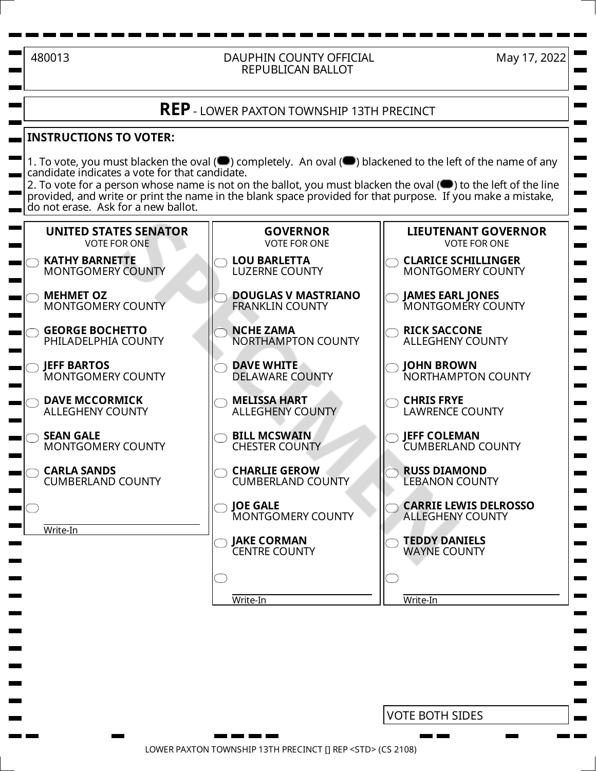## 480013 DAUPHIN COUNTY OFFICIAL REPUBLICAN BALLOT

May 17, 2022

## **REP**- LOWER PAXTON TOWNSHIP 13TH PRECINCT

## **INSTRUCTIONS TO VOTER:**

1. To vote, you must blacken the oval (C) completely. An oval (C) blackened to the left of the name of any candidate indicates a vote for that candidate.

2. To vote for a person whose name is not on the ballot, you must blacken the oval  $($ **)** to the left of the line provided, and write or print the name in the blank space provided for that purpose. If you make a mistake, do not erase. Ask for a new ballot.